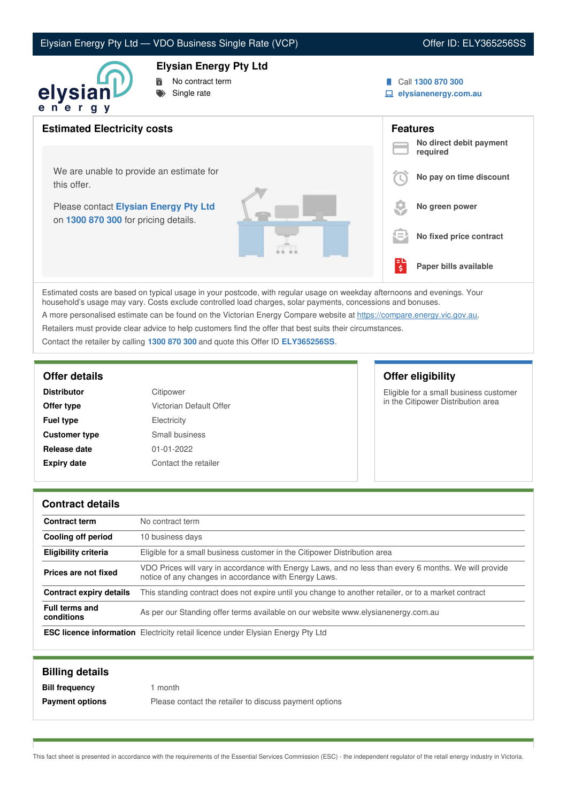## Elysian Energy Pty Ltd — VDO Business Single Rate (VCP) VO CHER COME VICH CHER COME CHER COME CHER

### **Elysian Energy Pty Ltd**



- No contract term
- Single rate
- Call **1300 870 300**
- **elysianenergy.com.au**

| <b>Estimated Electricity costs</b>                                            |     | <b>Features</b><br>No direct debit payment |
|-------------------------------------------------------------------------------|-----|--------------------------------------------|
|                                                                               |     | required                                   |
| We are unable to provide an estimate for<br>this offer.                       |     | No pay on time discount                    |
| Please contact Elysian Energy Pty Ltd<br>on 1300 870 300 for pricing details. |     | No green power                             |
|                                                                               | l = | No fixed price contract                    |
|                                                                               | 텋   | Paper bills available                      |

Estimated costs are based on typical usage in your postcode, with regular usage on weekday afternoons and evenings. Your household's usage may vary. Costs exclude controlled load charges, solar payments, concessions and bonuses.

A more personalised estimate can be found on the Victorian Energy Compare website at <https://compare.energy.vic.gov.au>.

Retailers must provide clear advice to help customers find the offer that best suits their circumstances.

Contact the retailer by calling **1300 870 300** and quote this Offer ID **ELY365256SS**.

| <b>Distributor</b>   | Citipower               |  |
|----------------------|-------------------------|--|
| Offer type           | Victorian Default Offer |  |
| <b>Fuel type</b>     | Electricity             |  |
| <b>Customer type</b> | Small business          |  |
| Release date         | 01-01-2022              |  |
| <b>Expiry date</b>   | Contact the retailer    |  |

## **Offer details Offer eligibility**

Eligible for a small business customer in the Citipower Distribution area

### **Contract details**

| <b>Contract term</b>                | No contract term                                                                                                                                               |
|-------------------------------------|----------------------------------------------------------------------------------------------------------------------------------------------------------------|
| Cooling off period                  | 10 business days                                                                                                                                               |
| <b>Eligibility criteria</b>         | Eligible for a small business customer in the Citipower Distribution area                                                                                      |
| Prices are not fixed                | VDO Prices will vary in accordance with Energy Laws, and no less than every 6 months. We will provide<br>notice of any changes in accordance with Energy Laws. |
| <b>Contract expiry details</b>      | This standing contract does not expire until you change to another retailer, or to a market contract                                                           |
| <b>Full terms and</b><br>conditions | As per our Standing offer terms available on our website www.elysianenergy.com.au                                                                              |
|                                     | <b>ESC licence information</b> Electricity retail licence under Elysian Energy Pty Ltd                                                                         |

| <b>Billing details</b> |                                                        |
|------------------------|--------------------------------------------------------|
| <b>Bill frequency</b>  | month                                                  |
| <b>Payment options</b> | Please contact the retailer to discuss payment options |